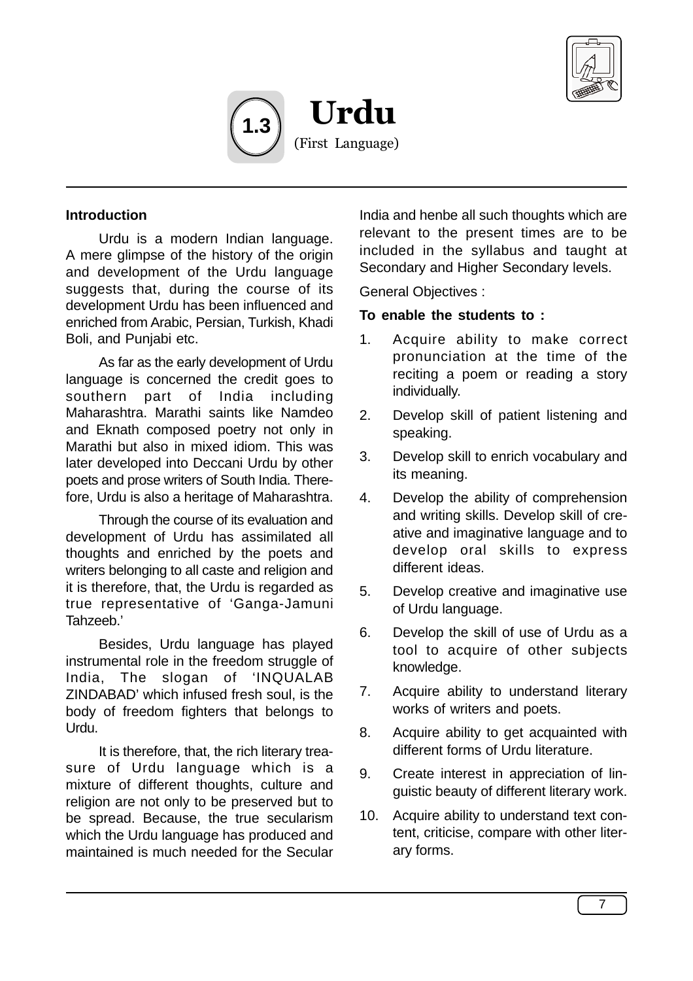



#### **Introduction**

Urdu is a modern Indian language. A mere glimpse of the history of the origin and development of the Urdu language suggests that, during the course of its development Urdu has been influenced and enriched from Arabic, Persian, Turkish, Khadi Boli, and Punjabi etc.

As far as the early development of Urdu language is concerned the credit goes to southern part of India including Maharashtra. Marathi saints like Namdeo and Eknath composed poetry not only in Marathi but also in mixed idiom. This was later developed into Deccani Urdu by other poets and prose writers of South India. Therefore, Urdu is also a heritage of Maharashtra.

Through the course of its evaluation and development of Urdu has assimilated all thoughts and enriched by the poets and writers belonging to all caste and religion and it is therefore, that, the Urdu is regarded as true representative of 'Ganga-Jamuni Tahzeeb.'

Besides, Urdu language has played instrumental role in the freedom struggle of India, The slogan of 'INQUALAB ZINDABAD' which infused fresh soul, is the body of freedom fighters that belongs to Urdu.

It is therefore, that, the rich literary treasure of Urdu language which is a mixture of different thoughts, culture and religion are not only to be preserved but to be spread. Because, the true secularism which the Urdu language has produced and maintained is much needed for the Secular

India and henbe all such thoughts which are relevant to the present times are to be included in the syllabus and taught at Secondary and Higher Secondary levels.

General Objectives :

#### **To enable the students to :**

- 1. Acquire ability to make correct pronunciation at the time of the reciting a poem or reading a story individually.
- 2. Develop skill of patient listening and speaking.
- 3. Develop skill to enrich vocabulary and its meaning.
- 4. Develop the ability of comprehension and writing skills. Develop skill of creative and imaginative language and to develop oral skills to express different ideas.
- 5. Develop creative and imaginative use of Urdu language.
- 6. Develop the skill of use of Urdu as a tool to acquire of other subjects knowledge.
- 7. Acquire ability to understand literary works of writers and poets.
- 8. Acquire ability to get acquainted with different forms of Urdu literature.
- 9. Create interest in appreciation of linguistic beauty of different literary work.
- 10. Acquire ability to understand text content, criticise, compare with other literary forms.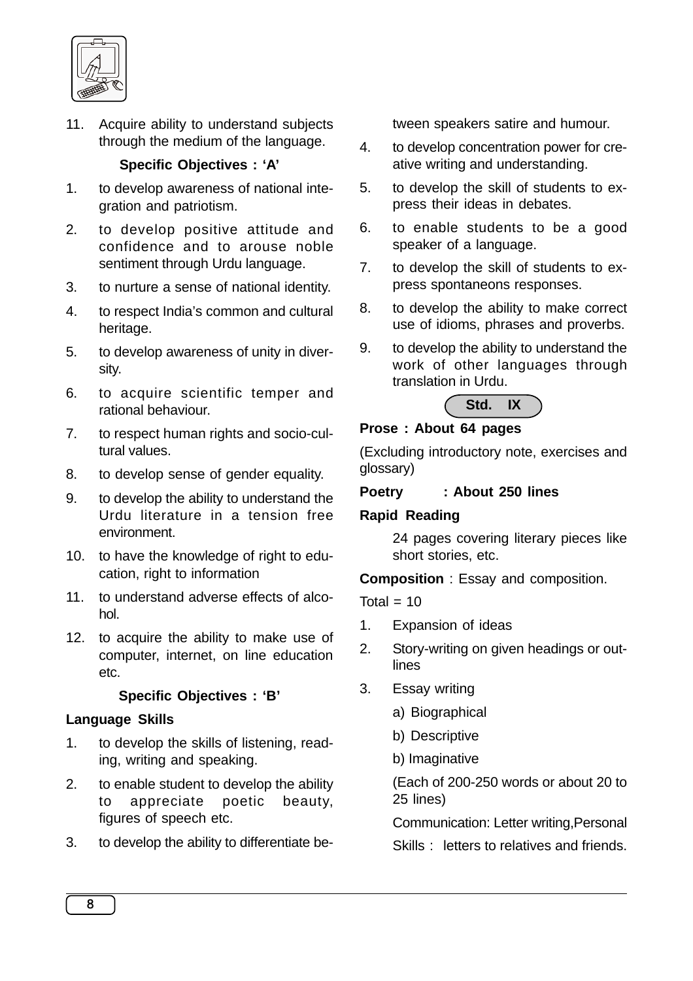

11. Acquire ability to understand subjects through the medium of the language.

### **Specific Objectives : 'A'**

- 1. to develop awareness of national integration and patriotism.
- 2. to develop positive attitude and confidence and to arouse noble sentiment through Urdu language.
- 3. to nurture a sense of national identity.
- 4. to respect India's common and cultural heritage.
- 5. to develop awareness of unity in diversity.
- 6. to acquire scientific temper and rational behaviour.
- 7. to respect human rights and socio-cultural values.
- 8. to develop sense of gender equality.
- 9. to develop the ability to understand the Urdu literature in a tension free environment.
- 10. to have the knowledge of right to education, right to information
- 11. to understand adverse effects of alcohol.
- 12. to acquire the ability to make use of computer, internet, on line education etc.

# **Specific Objectives : 'B'**

### **Language Skills**

- 1. to develop the skills of listening, reading, writing and speaking.
- 2. to enable student to develop the ability to appreciate poetic beauty, figures of speech etc.
- 3. to develop the ability to differentiate be-

tween speakers satire and humour.

- 4. to develop concentration power for creative writing and understanding.
- 5. to develop the skill of students to express their ideas in debates.
- 6. to enable students to be a good speaker of a language.
- 7. to develop the skill of students to express spontaneons responses.
- 8. to develop the ability to make correct use of idioms, phrases and proverbs.
- 9. to develop the ability to understand the work of other languages through translation in Urdu.



# **Prose : About 64 pages**

(Excluding introductory note, exercises and glossary)

### **Poetry : About 250 lines**

### **Rapid Reading**

24 pages covering literary pieces like short stories, etc.

**Composition** : Essay and composition.

Total  $= 10$ 

- 1. Expansion of ideas
- 2. Story-writing on given headings or outlines
- 3. Essay writing
	- a) Biographical
	- b) Descriptive
	- b) Imaginative

(Each of 200-250 words or about 20 to 25 lines)

Communication: Letter writing,Personal

Skills : letters to relatives and friends.